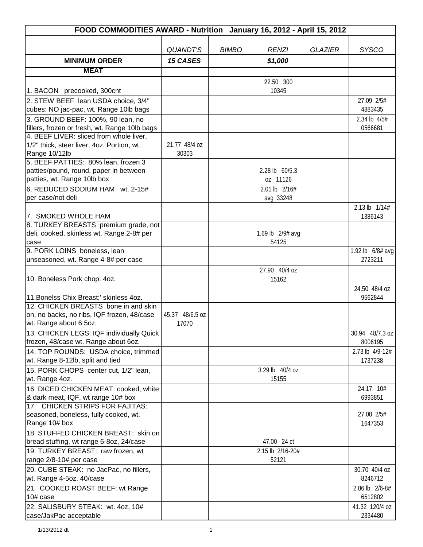| FOOD COMMODITIES AWARD - Nutrition January 16, 2012 - April 15, 2012                  |                 |              |                        |                |                             |
|---------------------------------------------------------------------------------------|-----------------|--------------|------------------------|----------------|-----------------------------|
|                                                                                       |                 |              |                        |                |                             |
|                                                                                       | <b>QUANDT'S</b> | <b>BIMBO</b> | <b>RENZI</b>           | <b>GLAZIER</b> | <b>SYSCO</b>                |
| <b>MINIMUM ORDER</b>                                                                  | <b>15 CASES</b> |              | \$1,000                |                |                             |
| <b>MEAT</b>                                                                           |                 |              |                        |                |                             |
|                                                                                       |                 |              | 22.50 300              |                |                             |
| 1. BACON precooked, 300cnt                                                            |                 |              | 10345                  |                |                             |
| 2. STEW BEEF lean USDA choice, 3/4"                                                   |                 |              |                        |                | 27.09 2/5#                  |
| cubes: NO jac-pac, wt. Range 10lb bags                                                |                 |              |                        |                | 4883435                     |
| 3. GROUND BEEF: 100%, 90 lean, no                                                     |                 |              |                        |                | 2.34 lb 4/5#                |
| fillers, frozen or fresh, wt. Range 10lb bags                                         |                 |              |                        |                | 0566681                     |
| 4. BEEF LIVER: sliced from whole liver,<br>1/2" thick, steer liver, 4oz. Portion, wt. | 21.77 48/4 oz   |              |                        |                |                             |
| Range 10/12lb                                                                         | 30303           |              |                        |                |                             |
| 5. BEEF PATTIES: 80% lean, frozen 3                                                   |                 |              |                        |                |                             |
| patties/pound, round, paper in between                                                |                 |              | 2.28 lb 60/5.3         |                |                             |
| patties, wt. Range 10lb box                                                           |                 |              | oz 11126               |                |                             |
| 6. REDUCED SODIUM HAM wt. 2-15#                                                       |                 |              | 2.01 lb 2/16#          |                |                             |
| per case/not deli                                                                     |                 |              | avg 33248              |                |                             |
|                                                                                       |                 |              |                        |                | 2.13 lb 1/14#               |
| 7. SMOKED WHOLE HAM                                                                   |                 |              |                        |                | 1386143                     |
| 8. TURKEY BREASTS premium grade, not                                                  |                 |              |                        |                |                             |
| deli, cooked, skinless wt. Range 2-8# per                                             |                 |              | 1.69 lb 2/9# avg       |                |                             |
| case<br>9. PORK LOINS boneless, lean                                                  |                 |              | 54125                  |                |                             |
| unseasoned, wt. Range 4-8# per case                                                   |                 |              |                        |                | 1.92 lb 6/8# avg<br>2723211 |
|                                                                                       |                 |              |                        |                |                             |
| 10. Boneless Pork chop: 4oz.                                                          |                 |              | 27.90 40/4 oz<br>15162 |                |                             |
|                                                                                       |                 |              |                        |                | 24.50 48/4 oz               |
| 11. Bonelss Chix Breast;' skinless 4oz.                                               |                 |              |                        |                | 9562844                     |
| 12. CHICKEN BREASTS bone in and skin                                                  |                 |              |                        |                |                             |
| on, no backs, no ribs, IQF frozen, 48/case                                            | 45.37 48/6.5 oz |              |                        |                |                             |
| wt. Range about 6.5oz.                                                                | 17070           |              |                        |                |                             |
| 13. CHICKEN LEGS: IQF individually Quick                                              |                 |              |                        |                | 30.94 48/7.3 oz             |
| frozen, 48/case wt. Range about 6oz.                                                  |                 |              |                        |                | 8006195                     |
| 14. TOP ROUNDS: USDA choice, trimmed                                                  |                 |              |                        |                | 2.73 lb 4/9-12#             |
| wt. Range 8-12lb, split and tied                                                      |                 |              |                        |                | 1737238                     |
| 15. PORK CHOPS center cut, 1/2" lean,                                                 |                 |              | 3.29 lb 40/4 oz        |                |                             |
| wt. Range 4oz.                                                                        |                 |              | 15155                  |                |                             |
| 16. DICED CHICKEN MEAT: cooked, white                                                 |                 |              |                        |                | 24.17 10#                   |
| & dark meat, IQF, wt range 10# box<br>17. CHICKEN STRIPS FOR FAJITAS:                 |                 |              |                        |                | 6993851                     |
| seasoned, boneless, fully cooked, wt.                                                 |                 |              |                        |                | 27.08 2/5#                  |
| Range 10# box                                                                         |                 |              |                        |                | 1647353                     |
| 18. STUFFED CHICKEN BREAST: skin on                                                   |                 |              |                        |                |                             |
| bread stuffing, wt range 6-8oz, 24/case                                               |                 |              | 47.00 24 ct            |                |                             |
| 19. TURKEY BREAST: raw frozen, wt                                                     |                 |              | 2.15 lb 2/16-20#       |                |                             |
| range 2/8-10# per case                                                                |                 |              | 52121                  |                |                             |
| 20. CUBE STEAK: no JacPac, no fillers,                                                |                 |              |                        |                | 30.70 40/4 oz               |
| wt. Range 4-5oz, 40/case                                                              |                 |              |                        |                | 8246712                     |
| 21. COOKED ROAST BEEF: wt Range                                                       |                 |              |                        |                | 2.86 lb 2/6-8#              |
| 10# case                                                                              |                 |              |                        |                | 6512802                     |
| 22. SALISBURY STEAK: wt. 4oz, 10#                                                     |                 |              |                        |                | 41.32 120/4 oz              |
| case/JakPac acceptable                                                                |                 |              |                        |                | 2334480                     |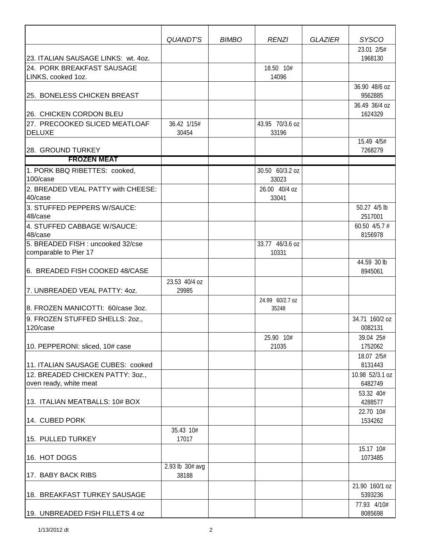|                                                                                                                                                | <b>QUANDT'S</b>          | <b>BIMBO</b> | <b>RENZI</b>             | <b>GLAZIER</b> | <b>SYSCO</b>                                          |
|------------------------------------------------------------------------------------------------------------------------------------------------|--------------------------|--------------|--------------------------|----------------|-------------------------------------------------------|
| 23. ITALIAN SAUSAGE LINKS: wt. 4oz.                                                                                                            |                          |              |                          |                | 23.01 2/5#<br>1968130                                 |
| 24. PORK BREAKFAST SAUSAGE<br>LINKS, cooked 1oz.                                                                                               |                          |              | 18.50 10#<br>14096       |                |                                                       |
| 25. BONELESS CHICKEN BREAST                                                                                                                    |                          |              |                          |                | 36.90 48/6 oz<br>9562885                              |
| 26. CHICKEN CORDON BLEU<br>27. PRECOOKED SLICED MEATLOAF<br><b>DELUXE</b>                                                                      | 36.42 1/15#<br>30454     |              | 43.95 70/3.6 oz<br>33196 |                | 36.49 36/4 oz<br>1624329<br>15.49 4/5#                |
| 28. GROUND TURKEY                                                                                                                              |                          |              |                          |                | 7268279                                               |
| <b>FROZEN MEAT</b>                                                                                                                             |                          |              |                          |                |                                                       |
| 1. PORK BBQ RIBETTES: cooked,<br>100/case                                                                                                      |                          |              | 30.50 60/3.2 oz<br>33023 |                |                                                       |
| 2. BREADED VEAL PATTY with CHEESE:<br>40/case                                                                                                  |                          |              | 26.00 40/4 oz<br>33041   |                |                                                       |
| 3. STUFFED PEPPERS W/SAUCE:<br>48/case<br>4. STUFFED CABBAGE W/SAUCE:<br>48/case<br>5. BREADED FISH : uncooked 32/cse<br>comparable to Pier 17 |                          |              | 33.77 46/3.6 oz<br>10331 |                | 50.27 4/5 lb<br>2517001<br>60.50 $4/5.7$ #<br>8156978 |
| 6. BREADED FISH COOKED 48/CASE<br>7. UNBREADED VEAL PATTY: 40Z.                                                                                | 23.53 40/4 oz<br>29985   |              |                          |                | 44.59 30 lb<br>8945061                                |
| 8. FROZEN MANICOTTI: 60/case 3oz.                                                                                                              |                          |              | 24.99 60/2.7 oz<br>35248 |                |                                                       |
| 9. FROZEN STUFFED SHELLS: 20Z.,<br>120/case                                                                                                    |                          |              |                          |                | 34.71 160/2 oz<br>0082131                             |
| 10. PEPPERONI: sliced, 10# case                                                                                                                |                          |              | 25.90 10#<br>21035       |                | 39.04 25#<br>1752062                                  |
| 11. ITALIAN SAUSAGE CUBES: cooked                                                                                                              |                          |              |                          |                | 18.07 2/5#<br>8131443                                 |
| 12. BREADED CHICKEN PATTY: 30Z.,<br>oven ready, white meat                                                                                     |                          |              |                          |                | 10.98 52/3.1 oz<br>6482749                            |
| 13. ITALIAN MEATBALLS: 10# BOX                                                                                                                 |                          |              |                          |                | 53.32 40#<br>4288577                                  |
| 14. CUBED PORK                                                                                                                                 |                          |              |                          |                | 22.70 10#<br>1534262                                  |
| 15. PULLED TURKEY                                                                                                                              | 35.43 10#<br>17017       |              |                          |                |                                                       |
| 16. HOT DOGS                                                                                                                                   |                          |              |                          |                | 15.17 10#<br>1073485                                  |
| 17. BABY BACK RIBS                                                                                                                             | 2.93 lb 30# avg<br>38188 |              |                          |                |                                                       |
| 18. BREAKFAST TURKEY SAUSAGE                                                                                                                   |                          |              |                          |                | 21.90 160/1 oz<br>5393236                             |
| 19. UNBREADED FISH FILLETS 4 oz                                                                                                                |                          |              |                          |                | 77.93 4/10#<br>8085698                                |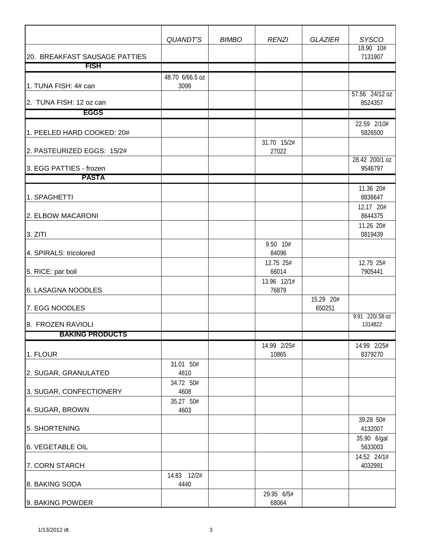|                               | QUANDT'S                       | <b>BIMBO</b> | <b>RENZI</b>                   | <b>GLAZIER</b>      | <b>SYSCO</b>               |
|-------------------------------|--------------------------------|--------------|--------------------------------|---------------------|----------------------------|
| 20. BREAKFAST SAUSAGE PATTIES |                                |              |                                |                     | 18.90 10#<br>7131907       |
| <b>FISH</b>                   |                                |              |                                |                     |                            |
| 1. TUNA FISH: 4# can          | 48.70 6/66.5 oz<br>3099        |              |                                |                     |                            |
| 2. TUNA FISH: 12 oz can       |                                |              |                                |                     | 57.56 24/12 oz<br>8524357  |
| <b>EGGS</b>                   |                                |              |                                |                     |                            |
| 1. PEELED HARD COOKED: 20#    |                                |              |                                |                     | 22.59 2/10#<br>5826500     |
| 2. PASTEURIZED EGGS: 15/2#    |                                |              | 31.70 15/2#<br>27022           |                     |                            |
| 3. EGG PATTIES - frozen       |                                |              |                                |                     | 28.42 200/1 oz<br>9546797  |
| <b>PASTA</b>                  |                                |              |                                |                     |                            |
| 1. SPAGHETTI                  |                                |              |                                |                     | 11.36 20#<br>8836647       |
| 2. ELBOW MACARONI             |                                |              |                                |                     | 12.17 20#<br>8644375       |
| 3. ZITI                       |                                |              |                                |                     | 11.26 20#<br>0819439       |
| 4. SPIRALS: tricolored        |                                |              | 9.50 10#<br>84096<br>12.75 25# |                     | 12.75 25#                  |
| 5. RICE: par boil             |                                |              | 66014                          |                     | 7905441                    |
| 6. LASAGNA NOODLES            |                                |              | 13.96 12/1#<br>76879           |                     |                            |
| 7. EGG NOODLES                |                                |              |                                | 15.29 20#<br>650251 |                            |
| 8. FROZEN RAVIOLI             |                                |              |                                |                     | 9.91 220/.58 oz<br>1314822 |
| <b>BAKING PRODUCTS</b>        |                                |              |                                |                     |                            |
| 1. FLOUR                      |                                |              | 14.99 2/25#<br>10865           |                     | 14.99 2/25#<br>8379270     |
| 2. SUGAR, GRANULATED          | 31.01 50#<br>4610<br>34.72 50# |              |                                |                     |                            |
| 3. SUGAR, CONFECTIONERY       | 4608                           |              |                                |                     |                            |
| 4. SUGAR, BROWN               | 35.27 50#<br>4603              |              |                                |                     |                            |
| 5. SHORTENING                 |                                |              |                                |                     | 39.28 50#<br>4132007       |
| 6. VEGETABLE OIL              |                                |              |                                |                     | 35.90 6/gal<br>5633003     |
| 7. CORN STARCH                |                                |              |                                |                     | 14.52 24/1#<br>4032991     |
| 8. BAKING SODA                | 14.83 12/2#<br>4440            |              |                                |                     |                            |
| 9. BAKING POWDER              |                                |              | 29.95 6/5#<br>68064            |                     |                            |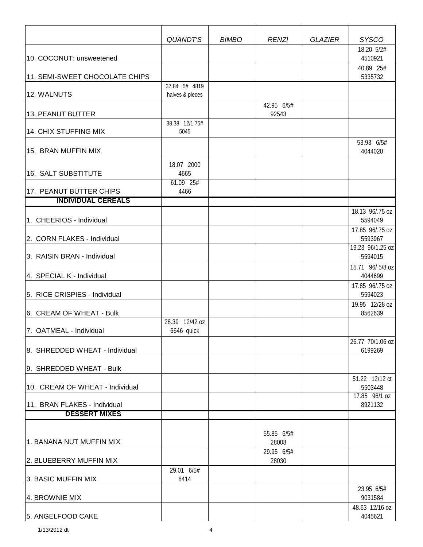|                                                     | QUANDT'S                            | <b>BIMBO</b> | <b>RENZI</b>                               | <b>GLAZIER</b> | <b>SYSCO</b>                       |
|-----------------------------------------------------|-------------------------------------|--------------|--------------------------------------------|----------------|------------------------------------|
| 10. COCONUT: unsweetened                            |                                     |              |                                            |                | 18.20 5/2#<br>4510921<br>40.89 25# |
| 11. SEMI-SWEET CHOCOLATE CHIPS                      |                                     |              |                                            |                | 5335732                            |
| 12. WALNUTS                                         | 37.84 5# 4819<br>halves & pieces    |              |                                            |                |                                    |
| 13. PEANUT BUTTER                                   |                                     |              | 42.95 6/5#<br>92543                        |                |                                    |
| 14. CHIX STUFFING MIX                               | 38.38 12/1.75#<br>5045              |              |                                            |                |                                    |
| 15. BRAN MUFFIN MIX                                 |                                     |              |                                            |                | 53.93 6/5#<br>4044020              |
| 16. SALT SUBSTITUTE                                 | 18.07 2000<br>4665<br>$61.09$ $25#$ |              |                                            |                |                                    |
| 17. PEANUT BUTTER CHIPS                             | 4466                                |              |                                            |                |                                    |
| <b>INDIVIDUAL CEREALS</b>                           |                                     |              |                                            |                |                                    |
| 1. CHEERIOS - Individual                            |                                     |              |                                            |                | 18.13 96/.75 oz<br>5594049         |
| 2. CORN FLAKES - Individual                         |                                     |              |                                            |                | 17.85 96/.75 oz<br>5593967         |
| 3. RAISIN BRAN - Individual                         |                                     |              |                                            |                | 19.23 96/1.25 oz<br>5594015        |
| 4. SPECIAL K - Individual                           |                                     |              |                                            |                | 15.71 96/5/8 oz<br>4044699         |
| 5. RICE CRISPIES - Individual                       |                                     |              |                                            |                | 17.85 96/.75 oz<br>5594023         |
| 6. CREAM OF WHEAT - Bulk                            |                                     |              |                                            |                | 19.95 12/28 oz<br>8562639          |
| 7. OATMEAL - Individual                             | 28.39 12/42 oz<br>6646 quick        |              |                                            |                |                                    |
| 8. SHREDDED WHEAT - Individual                      |                                     |              |                                            |                | 26.77 70/1.06 oz<br>6199269        |
| 9. SHREDDED WHEAT - Bulk                            |                                     |              |                                            |                |                                    |
| 10. CREAM OF WHEAT - Individual                     |                                     |              |                                            |                | 51.22 12/12 ct<br>5503448          |
| 11. BRAN FLAKES - Individual                        |                                     |              |                                            |                | 17.85 96/1 oz<br>8921132           |
| <b>DESSERT MIXES</b>                                |                                     |              |                                            |                |                                    |
| 1. BANANA NUT MUFFIN MIX<br>2. BLUEBERRY MUFFIN MIX |                                     |              | 55.85 6/5#<br>28008<br>29.95 6/5#<br>28030 |                |                                    |
| 3. BASIC MUFFIN MIX                                 | 29.01 6/5#<br>6414                  |              |                                            |                |                                    |
| 4. BROWNIE MIX                                      |                                     |              |                                            |                | 23.95 6/5#<br>9031584              |
| 5. ANGELFOOD CAKE                                   |                                     |              |                                            |                | 48.63 12/16 oz<br>4045621          |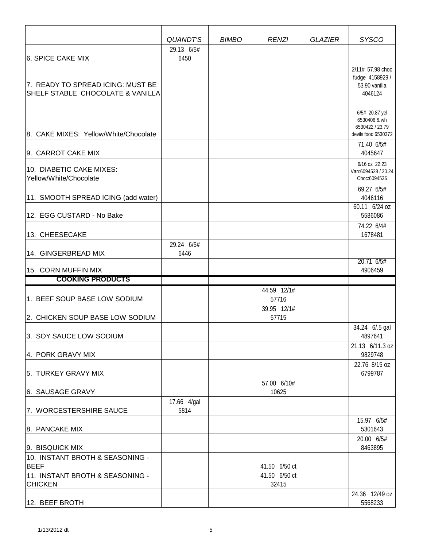|                                                                       | QUANDT'S            | <b>BIMBO</b> | <b>RENZI</b>           | <b>GLAZIER</b> | <b>SYSCO</b>                                                             |
|-----------------------------------------------------------------------|---------------------|--------------|------------------------|----------------|--------------------------------------------------------------------------|
|                                                                       | 29.13 6/5#          |              |                        |                |                                                                          |
| 6. SPICE CAKE MIX                                                     | 6450                |              |                        |                |                                                                          |
| 7. READY TO SPREAD ICING: MUST BE<br>SHELF STABLE CHOCOLATE & VANILLA |                     |              |                        |                | 2/11# 57.98 choc<br>fudge 4158929 /<br>53.90 vanilla<br>4046124          |
| 8. CAKE MIXES: Yellow/White/Chocolate                                 |                     |              |                        |                | 6/5# 20.87 yel<br>6530406 & wh<br>6530422 / 23.79<br>devils food 6530372 |
| 9. CARROT CAKE MIX                                                    |                     |              |                        |                | 71.40 6/5#<br>4045647                                                    |
| 10. DIABETIC CAKE MIXES:<br>Yellow/White/Chocolate                    |                     |              |                        |                | 6/16 oz 22.23<br>Van:6094528 / 20.24<br>Choc:6094536                     |
| 11. SMOOTH SPREAD ICING (add water)                                   |                     |              |                        |                | 69.27 6/5#<br>4046116                                                    |
| 12. EGG CUSTARD - No Bake                                             |                     |              |                        |                | 60.11 6/24 oz<br>5586086                                                 |
| 13. CHEESECAKE                                                        |                     |              |                        |                | 74.22 6/4#<br>1678481                                                    |
| 14. GINGERBREAD MIX                                                   | 29.24 6/5#<br>6446  |              |                        |                |                                                                          |
| 15. CORN MUFFIN MIX                                                   |                     |              |                        |                | 20.71 6/5#<br>4906459                                                    |
| <b>COOKING PRODUCTS</b>                                               |                     |              |                        |                |                                                                          |
| 1. BEEF SOUP BASE LOW SODIUM                                          |                     |              | 44.59 12/1#<br>57716   |                |                                                                          |
| 2. CHICKEN SOUP BASE LOW SODIUM                                       |                     |              | 39.95 12/1#<br>57715   |                |                                                                          |
| 3. SOY SAUCE LOW SODIUM                                               |                     |              |                        |                | 34.24 6/.5 gal<br>4897641                                                |
| 4. PORK GRAVY MIX                                                     |                     |              |                        |                | 21.13 6/11.3 oz<br>9829748                                               |
| 5. TURKEY GRAVY MIX                                                   |                     |              | 57.00 6/10#            |                | 22.76 8/15 oz<br>6799787                                                 |
| 6. SAUSAGE GRAVY                                                      |                     |              | 10625                  |                |                                                                          |
| 7. WORCESTERSHIRE SAUCE                                               | 17.66 4/gal<br>5814 |              |                        |                |                                                                          |
| 8. PANCAKE MIX                                                        |                     |              |                        |                | 15.97 6/5#<br>5301643<br>20.00 6/5#                                      |
| 9. BISQUICK MIX                                                       |                     |              |                        |                | 8463895                                                                  |
| 10. INSTANT BROTH & SEASONING -<br><b>BEEF</b>                        |                     |              | 41.50 6/50 ct          |                |                                                                          |
| 11. INSTANT BROTH & SEASONING -<br><b>CHICKEN</b>                     |                     |              | 41.50 6/50 ct<br>32415 |                |                                                                          |
| 12. BEEF BROTH                                                        |                     |              |                        |                | 24.36 12/49 oz<br>5568233                                                |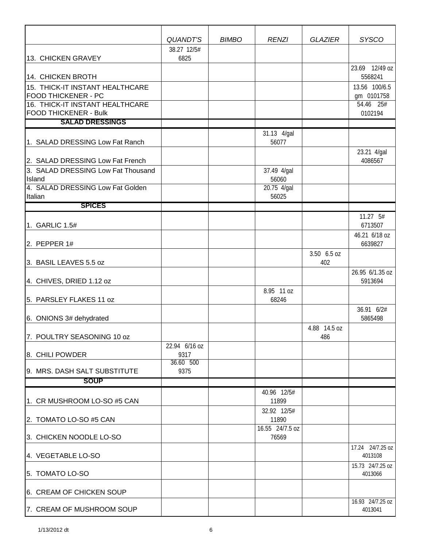|                                                               | QUANDT'S<br>38.27 12/5# | <b>BIMBO</b> | <b>RENZI</b>         | <b>GLAZIER</b>     | <b>SYSCO</b>                |
|---------------------------------------------------------------|-------------------------|--------------|----------------------|--------------------|-----------------------------|
| 13. CHICKEN GRAVEY                                            | 6825                    |              |                      |                    | 23.69 12/49 oz              |
| 14. CHICKEN BROTH                                             |                         |              |                      |                    | 5568241                     |
| 15. THICK-IT INSTANT HEALTHCARE                               |                         |              |                      |                    | 13.56 100/6.5               |
| <b>FOOD THICKENER - PC</b><br>16. THICK-IT INSTANT HEALTHCARE |                         |              |                      |                    | gm 0101758<br>54.46 25#     |
| <b>FOOD THICKENER - Bulk</b>                                  |                         |              |                      |                    | 0102194                     |
| <b>SALAD DRESSINGS</b>                                        |                         |              |                      |                    |                             |
|                                                               |                         |              | 31.13 4/gal          |                    |                             |
| 1. SALAD DRESSING Low Fat Ranch                               |                         |              | 56077                |                    | 23.21 4/gal                 |
| 2. SALAD DRESSING Low Fat French                              |                         |              |                      |                    | 4086567                     |
| 3. SALAD DRESSING Low Fat Thousand                            |                         |              | 37.49 4/gal          |                    |                             |
| Island                                                        |                         |              | 56060                |                    |                             |
| 4. SALAD DRESSING Low Fat Golden<br>Italian                   |                         |              | 20.75 4/gal<br>56025 |                    |                             |
| <b>SPICES</b>                                                 |                         |              |                      |                    |                             |
|                                                               |                         |              |                      |                    | 11.27 5#                    |
| 1. GARLIC 1.5#                                                |                         |              |                      |                    | 6713507                     |
| 2. PEPPER $1#$                                                |                         |              |                      |                    | 46.21 6/18 oz<br>6639827    |
| 3. BASIL LEAVES 5.5 oz                                        |                         |              |                      | 3.50 6.5 oz<br>402 |                             |
|                                                               |                         |              |                      |                    | 26.95 6/1.35 oz             |
| 4. CHIVES, DRIED 1.12 oz                                      |                         |              |                      |                    | 5913694                     |
| 5. PARSLEY FLAKES 11 oz                                       |                         |              | 8.95 11 oz<br>68246  |                    |                             |
| 6. ONIONS 3# dehydrated                                       |                         |              |                      |                    | 36.91 6/2#<br>5865498       |
|                                                               |                         |              |                      | 4.88 14.5 oz       |                             |
| 7. POULTRY SEASONING 10 oz                                    |                         |              |                      | 486                |                             |
| 8. CHILI POWDER                                               | 22.94 6/16 oz<br>9317   |              |                      |                    |                             |
|                                                               | 36.60 500               |              |                      |                    |                             |
| l9. MRS. DASH SALT SUBSTITUTE                                 | 9375                    |              |                      |                    |                             |
| <b>SOUP</b>                                                   |                         |              |                      |                    |                             |
| 1. CR MUSHROOM LO-SO #5 CAN                                   |                         |              | 40.96 12/5#<br>11899 |                    |                             |
|                                                               |                         |              | 32.92 12/5#          |                    |                             |
| 2. TOMATO LO-SO #5 CAN                                        |                         |              | 11890                |                    |                             |
|                                                               |                         |              | 16.55 24/7.5 oz      |                    |                             |
| 3. CHICKEN NOODLE LO-SO                                       |                         |              | 76569                |                    |                             |
| 4. VEGETABLE LO-SO                                            |                         |              |                      |                    | 17.24 24/7.25 oz<br>4013108 |
| 5. TOMATO LO-SO                                               |                         |              |                      |                    | 15.73 24/7.25 oz<br>4013066 |
| 6. CREAM OF CHICKEN SOUP                                      |                         |              |                      |                    |                             |
| 7. CREAM OF MUSHROOM SOUP                                     |                         |              |                      |                    | 16.93 24/7.25 oz<br>4013041 |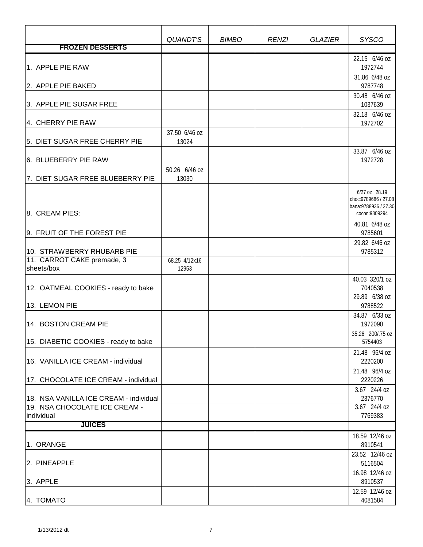|                                        | QUANDT'S               | <b>BIMBO</b> | <b>RENZI</b> | <b>GLAZIER</b> | <b>SYSCO</b>                                                    |
|----------------------------------------|------------------------|--------------|--------------|----------------|-----------------------------------------------------------------|
| <b>FROZEN DESSERTS</b>                 |                        |              |              |                |                                                                 |
| 1. APPLE PIE RAW                       |                        |              |              |                | 22.15 6/46 oz<br>1972744                                        |
| 2. APPLE PIE BAKED                     |                        |              |              |                | 31.86 6/48 oz<br>9787748                                        |
| 3. APPLE PIE SUGAR FREE                |                        |              |              |                | 30.48 6/46 oz<br>1037639                                        |
| 4. CHERRY PIE RAW                      |                        |              |              |                | 32.18 6/46 oz<br>1972702                                        |
| 5. DIET SUGAR FREE CHERRY PIE          | 37.50 6/46 oz<br>13024 |              |              |                |                                                                 |
|                                        |                        |              |              |                | 33.87 6/46 oz                                                   |
| 6. BLUEBERRY PIE RAW                   |                        |              |              |                | 1972728                                                         |
| 7. DIET SUGAR FREE BLUEBERRY PIE       | 50.26 6/46 oz<br>13030 |              |              |                |                                                                 |
|                                        |                        |              |              |                | 6/27 oz 28.19                                                   |
| 8. CREAM PIES:                         |                        |              |              |                | choc: 9789686 / 27.08<br>bana: 9788936 / 27.30<br>cocon:9809294 |
| 9. FRUIT OF THE FOREST PIE             |                        |              |              |                | 40.81 6/48 oz<br>9785601                                        |
|                                        |                        |              |              |                | 29.82 6/46 oz                                                   |
| 10. STRAWBERRY RHUBARB PIE             |                        |              |              |                | 9785312                                                         |
| 11. CARROT CAKE premade, 3             | 68.25 4/12x16          |              |              |                |                                                                 |
| sheets/box                             | 12953                  |              |              |                |                                                                 |
| 12. OATMEAL COOKIES - ready to bake    |                        |              |              |                | 40.03 320/1 oz<br>7040538                                       |
|                                        |                        |              |              |                | 29.89 6/38 oz                                                   |
| 13. LEMON PIE                          |                        |              |              |                | 9788522                                                         |
| 14. BOSTON CREAM PIE                   |                        |              |              |                | 34.87 6/33 oz<br>1972090                                        |
| 15. DIABETIC COOKIES - ready to bake   |                        |              |              |                | 35.26 200/.75 oz<br>5754403                                     |
| 16. VANILLA ICE CREAM - individual     |                        |              |              |                | 21.48 96/4 oz<br>2220200                                        |
| 17. CHOCOLATE ICE CREAM - individual   |                        |              |              |                | 21.48 96/4 oz<br>2220226                                        |
|                                        |                        |              |              |                | 3.67 24/4 oz                                                    |
| 18. NSA VANILLA ICE CREAM - individual |                        |              |              |                | 2376770                                                         |
| 19. NSA CHOCOLATE ICE CREAM -          |                        |              |              |                | 3.67 24/4 oz                                                    |
| individual<br><b>JUICES</b>            |                        |              |              |                | 7769383                                                         |
|                                        |                        |              |              |                | 18.59 12/46 oz                                                  |
| 1. ORANGE                              |                        |              |              |                | 8910541                                                         |
| 2. PINEAPPLE                           |                        |              |              |                | 23.52 12/46 oz<br>5116504                                       |
| 3. APPLE                               |                        |              |              |                | 16.98 12/46 oz<br>8910537                                       |
| 4. TOMATO                              |                        |              |              |                | 12.59 12/46 oz<br>4081584                                       |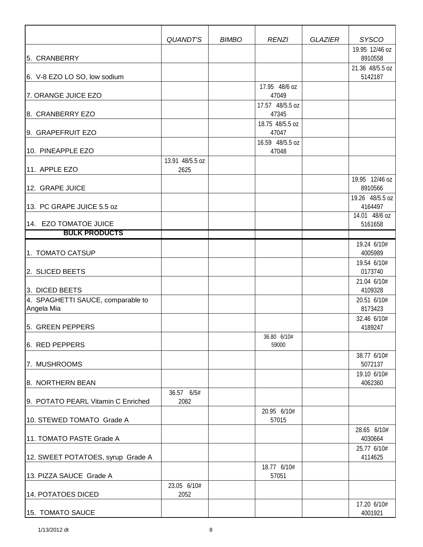|                                                 | <b>QUANDT'S</b>     | <b>BIMBO</b> | <b>RENZI</b>                              | <b>GLAZIER</b> | <b>SYSCO</b><br>19.95 12/46 oz              |
|-------------------------------------------------|---------------------|--------------|-------------------------------------------|----------------|---------------------------------------------|
| 5. CRANBERRY                                    |                     |              |                                           |                | 8910558                                     |
| 6. V-8 EZO LO SO, low sodium                    |                     |              |                                           |                | 21.36 48/5.5 oz<br>5142187                  |
| 7. ORANGE JUICE EZO                             |                     |              | 17.95 48/6 oz<br>47049<br>17.57 48/5.5 oz |                |                                             |
| 8. CRANBERRY EZO                                |                     |              | 47345                                     |                |                                             |
| 9. GRAPEFRUIT EZO                               |                     |              | 18.75 48/5.5 oz<br>47047                  |                |                                             |
| 10. PINEAPPLE EZO                               | 13.91 48/5.5 oz     |              | 16.59 48/5.5 oz<br>47048                  |                |                                             |
| 11. APPLE EZO                                   | 2625                |              |                                           |                |                                             |
| 12. GRAPE JUICE                                 |                     |              |                                           |                | 19.95 12/46 oz<br>8910566                   |
| 13. PC GRAPE JUICE 5.5 oz                       |                     |              |                                           |                | 19.26 48/5.5 oz<br>4164497<br>14.01 48/6 oz |
| 14. EZO TOMATOE JUICE                           |                     |              |                                           |                | 5161658                                     |
| <b>BULK PRODUCTS</b>                            |                     |              |                                           |                |                                             |
| 1. TOMATO CATSUP                                |                     |              |                                           |                | 19.24 6/10#<br>4005989                      |
| 2. SLICED BEETS                                 |                     |              |                                           |                | 19.54 6/10#<br>0173740                      |
| 3. DICED BEETS                                  |                     |              |                                           |                | 21.04 6/10#<br>4109328                      |
| 4. SPAGHETTI SAUCE, comparable to<br>Angela Mia |                     |              |                                           |                | 20.51 6/10#<br>8173423                      |
| 5. GREEN PEPPERS                                |                     |              |                                           |                | 32.46 6/10#<br>4189247                      |
| 6. RED PEPPERS                                  |                     |              | 36.80 6/10#<br>59000                      |                |                                             |
| 7. MUSHROOMS                                    |                     |              |                                           |                | 38.77 6/10#<br>5072137                      |
| 8. NORTHERN BEAN                                |                     |              |                                           |                | 19.10 6/10#<br>4062360                      |
| 9. POTATO PEARL Vitamin C Enriched              | 36.57 6/5#<br>2082  |              |                                           |                |                                             |
| 10. STEWED TOMATO Grade A                       |                     |              | 20.95 6/10#<br>57015                      |                |                                             |
| 11. TOMATO PASTE Grade A                        |                     |              |                                           |                | 28.65 6/10#<br>4030664                      |
| 12. SWEET POTATOES, syrup Grade A               |                     |              |                                           |                | 25.77 6/10#<br>4114625                      |
| 13. PIZZA SAUCE Grade A                         |                     |              | 18.77 6/10#<br>57051                      |                |                                             |
| 14. POTATOES DICED                              | 23.05 6/10#<br>2052 |              |                                           |                |                                             |
| 15. TOMATO SAUCE                                |                     |              |                                           |                | 17.20 6/10#<br>4001921                      |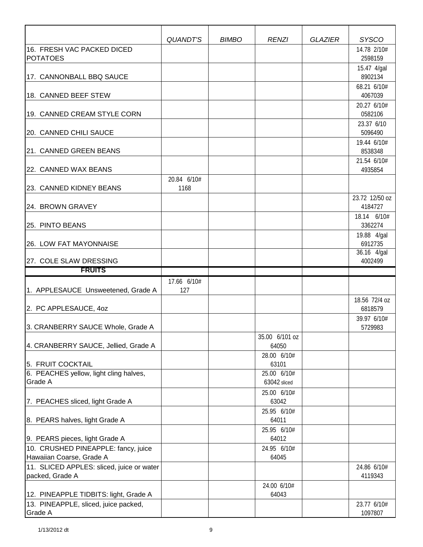|                                                                       | QUANDT'S            | <b>BIMBO</b> | <b>RENZI</b>                        | <b>GLAZIER</b> | <b>SYSCO</b>              |
|-----------------------------------------------------------------------|---------------------|--------------|-------------------------------------|----------------|---------------------------|
| 16. FRESH VAC PACKED DICED<br><b>POTATOES</b>                         |                     |              |                                     |                | 14.78 2/10#<br>2598159    |
| 17. CANNONBALL BBQ SAUCE                                              |                     |              |                                     |                | 15.47 4/gal<br>8902134    |
| 18. CANNED BEEF STEW                                                  |                     |              |                                     |                | 68.21 6/10#<br>4067039    |
| 19. CANNED CREAM STYLE CORN                                           |                     |              |                                     |                | 20.27 6/10#<br>0582106    |
| 20. CANNED CHILI SAUCE                                                |                     |              |                                     |                | 23.37 6/10<br>5096490     |
| 21. CANNED GREEN BEANS                                                |                     |              |                                     |                | 19.44 6/10#<br>8538348    |
| 22. CANNED WAX BEANS                                                  |                     |              |                                     |                | 21.54 6/10#<br>4935854    |
| 23. CANNED KIDNEY BEANS                                               | 20.84 6/10#<br>1168 |              |                                     |                |                           |
| 24. BROWN GRAVEY                                                      |                     |              |                                     |                | 23.72 12/50 oz<br>4184727 |
| 25. PINTO BEANS                                                       |                     |              |                                     |                | 18.14 6/10#<br>3362274    |
| 26. LOW FAT MAYONNAISE                                                |                     |              |                                     |                | 19.88 4/gal<br>6912735    |
| 27. COLE SLAW DRESSING                                                |                     |              |                                     |                | 36.16 4/gal<br>4002499    |
| <b>FRUITS</b>                                                         |                     |              |                                     |                |                           |
| 1. APPLESAUCE Unsweetened, Grade A                                    | 17.66 6/10#<br>127  |              |                                     |                |                           |
| 2. PC APPLESAUCE, 4oz                                                 |                     |              |                                     |                | 18.56 72/4 oz<br>6818579  |
| 3. CRANBERRY SAUCE Whole, Grade A                                     |                     |              |                                     |                | 39.97 6/10#<br>5729983    |
| 4. CRANBERRY SAUCE, Jellied, Grade A                                  |                     |              | 35.00 6/101 oz<br>64050             |                |                           |
| 5. FRUIT COCKTAIL                                                     |                     |              | 28.00 6/10#<br>63101                |                |                           |
| 6. PEACHES yellow, light cling halves,<br>Grade A                     |                     |              | 25.00 6/10#<br>63042 sliced         |                |                           |
| 7. PEACHES sliced, light Grade A                                      |                     |              | 25.00 6/10#<br>63042<br>25.95 6/10# |                |                           |
| 8. PEARS halves, light Grade A                                        |                     |              | 64011<br>25.95 6/10#                |                |                           |
| 9. PEARS pieces, light Grade A<br>10. CRUSHED PINEAPPLE: fancy, juice |                     |              | 64012<br>24.95 6/10#                |                |                           |
| Hawaiian Coarse, Grade A                                              |                     |              | 64045                               |                |                           |
| 11. SLICED APPLES: sliced, juice or water<br>packed, Grade A          |                     |              |                                     |                | 24.86 6/10#<br>4119343    |
| 12. PINEAPPLE TIDBITS: light, Grade A                                 |                     |              | 24.00 6/10#<br>64043                |                |                           |
| 13. PINEAPPLE, sliced, juice packed,<br>Grade A                       |                     |              |                                     |                | 23.77 6/10#<br>1097807    |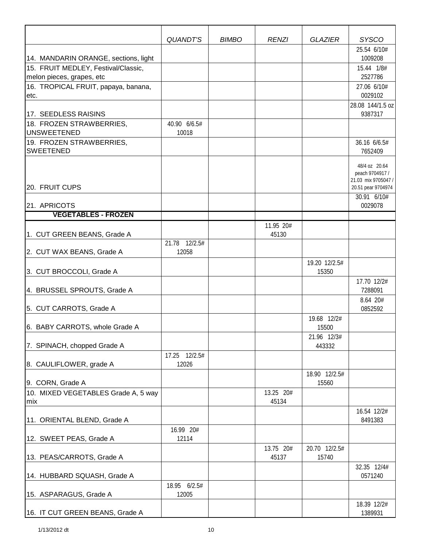|                                                                  | QUANDT'S              | <b>BIMBO</b> | <b>RENZI</b> | <b>GLAZIER</b>        | <b>SYSCO</b>                              |
|------------------------------------------------------------------|-----------------------|--------------|--------------|-----------------------|-------------------------------------------|
|                                                                  |                       |              |              |                       | 25.54 6/10#                               |
| 14. MANDARIN ORANGE, sections, light                             |                       |              |              |                       | 1009208                                   |
| 15. FRUIT MEDLEY, Festival/Classic,<br>melon pieces, grapes, etc |                       |              |              |                       | 15.44 1/8#<br>2527786                     |
| 16. TROPICAL FRUIT, papaya, banana,                              |                       |              |              |                       | 27.06 6/10#                               |
| letc.                                                            |                       |              |              |                       | 0029102                                   |
|                                                                  |                       |              |              |                       | 28.08 144/1.5 oz                          |
| 17. SEEDLESS RAISINS                                             |                       |              |              |                       | 9387317                                   |
| 18. FROZEN STRAWBERRIES,<br><b>UNSWEETENED</b>                   | 40.90 6/6.5#<br>10018 |              |              |                       |                                           |
| 19. FROZEN STRAWBERRIES,                                         |                       |              |              |                       | 36.16 6/6.5#                              |
| <b>SWEETENED</b>                                                 |                       |              |              |                       | 7652409                                   |
|                                                                  |                       |              |              |                       | 48/4 oz 20.64                             |
|                                                                  |                       |              |              |                       | peach 9704917 /                           |
| 20. FRUIT CUPS                                                   |                       |              |              |                       | 21.03 mix 9705047 /<br>20.51 pear 9704974 |
|                                                                  |                       |              |              |                       | $\overline{30.91}$ 6/10#                  |
| 21. APRICOTS                                                     |                       |              |              |                       | 0029078                                   |
| <b>VEGETABLES - FROZEN</b>                                       |                       |              |              |                       |                                           |
|                                                                  |                       |              | 11.95 20#    |                       |                                           |
| 1. CUT GREEN BEANS, Grade A                                      | 21.78 12/2.5#         |              | 45130        |                       |                                           |
| 2. CUT WAX BEANS, Grade A                                        | 12058                 |              |              |                       |                                           |
|                                                                  |                       |              |              | 19.20 12/2.5#         |                                           |
| 3. CUT BROCCOLI, Grade A                                         |                       |              |              | 15350                 |                                           |
| 4. BRUSSEL SPROUTS, Grade A                                      |                       |              |              |                       | 17.70 12/2#<br>7288091                    |
|                                                                  |                       |              |              |                       | 8.64 20#                                  |
| 5. CUT CARROTS, Grade A                                          |                       |              |              |                       | 0852592                                   |
|                                                                  |                       |              |              | 19.68 12/2#           |                                           |
| 6. BABY CARROTS, whole Grade A                                   |                       |              |              | 15500                 |                                           |
| 7. SPINACH, chopped Grade A                                      |                       |              |              | 21.96 12/3#<br>443332 |                                           |
|                                                                  | 17.25 12/2.5#         |              |              |                       |                                           |
| 8. CAULIFLOWER, grade A                                          | 12026                 |              |              |                       |                                           |
|                                                                  |                       |              |              | 18.90 12/2.5#         |                                           |
| 9. CORN, Grade A<br>10. MIXED VEGETABLES Grade A, 5 way          |                       |              | 13.25 20#    | 15560                 |                                           |
| mix                                                              |                       |              | 45134        |                       |                                           |
|                                                                  |                       |              |              |                       | 16.54 12/2#                               |
| 11. ORIENTAL BLEND, Grade A                                      |                       |              |              |                       | 8491383                                   |
|                                                                  | 16.99 20#             |              |              |                       |                                           |
| 12. SWEET PEAS, Grade A                                          | 12114                 |              | 13.75 20#    | 20.70 12/2.5#         |                                           |
| 13. PEAS/CARROTS, Grade A                                        |                       |              | 45137        | 15740                 |                                           |
|                                                                  |                       |              |              |                       | 32.35 12/4#                               |
| 14. HUBBARD SQUASH, Grade A                                      |                       |              |              |                       | 0571240                                   |
|                                                                  | 18.95 6/2.5#          |              |              |                       |                                           |
| 15. ASPARAGUS, Grade A                                           | 12005                 |              |              |                       | 18.39 12/2#                               |
| 16. IT CUT GREEN BEANS, Grade A                                  |                       |              |              |                       | 1389931                                   |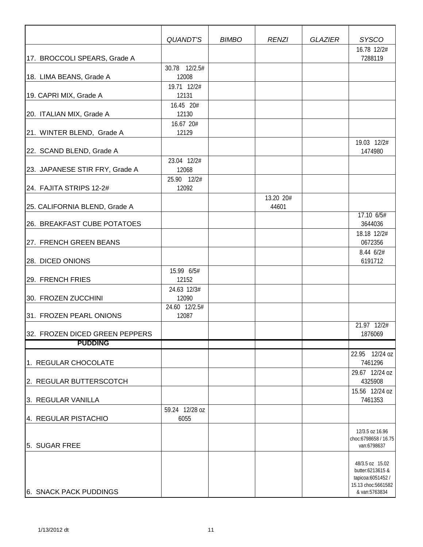|                                | QUANDT'S               | <b>BIMBO</b> | <b>RENZI</b>       | <b>GLAZIER</b> | <b>SYSCO</b>                                                                                    |
|--------------------------------|------------------------|--------------|--------------------|----------------|-------------------------------------------------------------------------------------------------|
| 17. BROCCOLI SPEARS, Grade A   |                        |              |                    |                | 16.78 12/2#<br>7288119                                                                          |
|                                | 30.78 12/2.5#          |              |                    |                |                                                                                                 |
| 18. LIMA BEANS, Grade A        | 12008                  |              |                    |                |                                                                                                 |
| 19. CAPRI MIX, Grade A         | 19.71 12/2#<br>12131   |              |                    |                |                                                                                                 |
| 20. ITALIAN MIX, Grade A       | 16.45 20#<br>12130     |              |                    |                |                                                                                                 |
| 21. WINTER BLEND, Grade A      | 16.67 20#<br>12129     |              |                    |                |                                                                                                 |
| 22. SCAND BLEND, Grade A       |                        |              |                    |                | 19.03 12/2#<br>1474980                                                                          |
| 23. JAPANESE STIR FRY, Grade A | 23.04 12/2#<br>12068   |              |                    |                |                                                                                                 |
| 24. FAJITA STRIPS 12-2#        | 25.90 12/2#<br>12092   |              |                    |                |                                                                                                 |
| 25. CALIFORNIA BLEND, Grade A  |                        |              | 13.20 20#<br>44601 |                |                                                                                                 |
| 26. BREAKFAST CUBE POTATOES    |                        |              |                    |                | 17.10 6/5#<br>3644036                                                                           |
| 27. FRENCH GREEN BEANS         |                        |              |                    |                | 18.18 12/2#<br>0672356                                                                          |
| 28. DICED ONIONS               |                        |              |                    |                | 8.44 6/2#<br>6191712                                                                            |
| 29. FRENCH FRIES               | 15.99 6/5#<br>12152    |              |                    |                |                                                                                                 |
| 30. FROZEN ZUCCHINI            | 24.63 12/3#<br>12090   |              |                    |                |                                                                                                 |
| 31. FROZEN PEARL ONIONS        | 24.60 12/2.5#<br>12087 |              |                    |                |                                                                                                 |
| 32. FROZEN DICED GREEN PEPPERS |                        |              |                    |                | 21.97 12/2#<br>1876069                                                                          |
| <b>PUDDING</b>                 |                        |              |                    |                |                                                                                                 |
| 1. REGULAR CHOCOLATE           |                        |              |                    |                | 22.95 12/24 oz<br>7461296                                                                       |
| 2. REGULAR BUTTERSCOTCH        |                        |              |                    |                | 29.67 12/24 oz<br>4325908                                                                       |
| 3. REGULAR VANILLA             |                        |              |                    |                | 15.56 12/24 oz<br>7461353                                                                       |
| 4. REGULAR PISTACHIO           | 59.24 12/28 oz<br>6055 |              |                    |                |                                                                                                 |
| 5. SUGAR FREE                  |                        |              |                    |                | 12/3.5 oz 16.96<br>choc:6798658 / 16.75<br>van:6798637                                          |
| 6. SNACK PACK PUDDINGS         |                        |              |                    |                | 48/3.5 oz 15.02<br>butter:6213615 &<br>tapicoa:6051452 /<br>15.13 choc:5661582<br>& van:5763834 |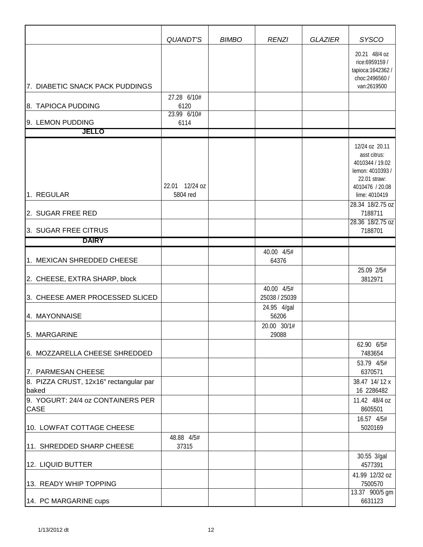|                                                                       | <b>QUANDT'S</b>            | <b>BIMBO</b> | <b>RENZI</b>                | <b>GLAZIER</b> | <b>SYSCO</b>                                                                                                              |
|-----------------------------------------------------------------------|----------------------------|--------------|-----------------------------|----------------|---------------------------------------------------------------------------------------------------------------------------|
| 7. DIABETIC SNACK PACK PUDDINGS                                       | 27.28 6/10#                |              |                             |                | 20.21 48/4 oz<br>rice:6959159 /<br>tapioca: 1642362 /<br>choc:2496560 /<br>van:2619500                                    |
| 8. TAPIOCA PUDDING                                                    | 6120<br>23.99 6/10#        |              |                             |                |                                                                                                                           |
| 9. LEMON PUDDING                                                      | 6114                       |              |                             |                |                                                                                                                           |
| <b>JELLO</b>                                                          |                            |              |                             |                |                                                                                                                           |
| 1. REGULAR                                                            | 22.01 12/24 oz<br>5804 red |              |                             |                | 12/24 oz 20.11<br>asst citrus:<br>4010344 / 19.02<br>lemon: 4010393 /<br>22.01 straw:<br>4010476 / 20.08<br>lime: 4010419 |
|                                                                       |                            |              |                             |                | 28.34 18/2.75 oz                                                                                                          |
| 2. SUGAR FREE RED                                                     |                            |              |                             |                | 7188711<br>28.36 18/2.75 oz                                                                                               |
| 3. SUGAR FREE CITRUS                                                  |                            |              |                             |                | 7188701                                                                                                                   |
| <b>DAIRY</b>                                                          |                            |              |                             |                |                                                                                                                           |
| 1. MEXICAN SHREDDED CHEESE                                            |                            |              | 40.00 4/5#<br>64376         |                | 25.09 2/5#                                                                                                                |
| 2. CHEESE, EXTRA SHARP, block                                         |                            |              |                             |                | 3812971                                                                                                                   |
| 3. CHEESE AMER PROCESSED SLICED                                       |                            |              | 40.00 4/5#<br>25038 / 25039 |                |                                                                                                                           |
| 4. MAYONNAISE                                                         |                            |              | 24.95 4/gal<br>56206        |                |                                                                                                                           |
| 5. MARGARINE                                                          |                            |              | 20.00 30/1#<br>29088        |                | 62.90 6/5#                                                                                                                |
| 6. MOZZARELLA CHEESE SHREDDED                                         |                            |              |                             |                | 7483654                                                                                                                   |
| 7. PARMESAN CHEESE<br>8. PIZZA CRUST, 12x16" rectangular par<br>baked |                            |              |                             |                | 53.79 4/5#<br>6370571<br>38.47 14/12 x<br>16 2286482                                                                      |
| 9. YOGURT: 24/4 oz CONTAINERS PER<br>CASE                             |                            |              |                             |                | 11.42 48/4 oz<br>8605501                                                                                                  |
| 10. LOWFAT COTTAGE CHEESE                                             |                            |              |                             |                | 16.57 4/5#<br>5020169                                                                                                     |
| 11. SHREDDED SHARP CHEESE                                             | 48.88 4/5#<br>37315        |              |                             |                | 30.55 3/gal                                                                                                               |
| 12. LIQUID BUTTER                                                     |                            |              |                             |                | 4577391                                                                                                                   |
| 13. READY WHIP TOPPING                                                |                            |              |                             |                | 41.99 12/32 oz<br>7500570                                                                                                 |
| 14. PC MARGARINE cups                                                 |                            |              |                             |                | 13.37 900/5 gm<br>6631123                                                                                                 |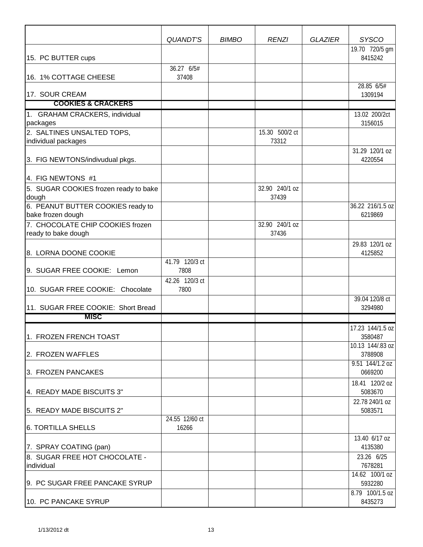|                                                   | <b>QUANDT'S</b>        | <b>BIMBO</b> | <b>RENZI</b>            | <b>GLAZIER</b> | <b>SYSCO</b>              |
|---------------------------------------------------|------------------------|--------------|-------------------------|----------------|---------------------------|
| 15. PC BUTTER cups                                |                        |              |                         |                | 19.70 720/5 gm<br>8415242 |
| 16. 1% COTTAGE CHEESE                             | 36.27 6/5#<br>37408    |              |                         |                |                           |
| 17. SOUR CREAM                                    |                        |              |                         |                | 28.85 6/5#<br>1309194     |
| <b>COOKIES &amp; CRACKERS</b>                     |                        |              |                         |                |                           |
| 1. GRAHAM CRACKERS, individual                    |                        |              |                         |                | 13.02 200/2ct             |
| packages                                          |                        |              |                         |                | 3156015                   |
| 2. SALTINES UNSALTED TOPS,<br>individual packages |                        |              | 15.30 500/2 ct<br>73312 |                |                           |
|                                                   |                        |              |                         |                | 31.29 120/1 oz            |
| 3. FIG NEWTONS/indivudual pkgs.                   |                        |              |                         |                | 4220554                   |
|                                                   |                        |              |                         |                |                           |
| 4. FIG NEWTONS #1                                 |                        |              |                         |                |                           |
| 5. SUGAR COOKIES frozen ready to bake             |                        |              | 32.90 240/1 oz          |                |                           |
| dough                                             |                        |              | 37439                   |                |                           |
| 6. PEANUT BUTTER COOKIES ready to                 |                        |              |                         |                | 36.22 216/1.5 oz          |
| bake frozen dough                                 |                        |              |                         |                | 6219869                   |
| 7. CHOCOLATE CHIP COOKIES frozen                  |                        |              | 32.90 240/1 oz          |                |                           |
| ready to bake dough                               |                        |              | 37436                   |                |                           |
|                                                   |                        |              |                         |                | 29.83 120/1 oz            |
| 8. LORNA DOONE COOKIE                             |                        |              |                         |                | 4125852                   |
| 9. SUGAR FREE COOKIE: Lemon                       | 41.79 120/3 ct<br>7808 |              |                         |                |                           |
|                                                   | 42.26 120/3 ct         |              |                         |                |                           |
| 10. SUGAR FREE COOKIE: Chocolate                  | 7800                   |              |                         |                |                           |
|                                                   |                        |              |                         |                | 39.04 120/8 ct            |
| 11. SUGAR FREE COOKIE: Short Bread                |                        |              |                         |                | 3294980                   |
| <b>MISC</b>                                       |                        |              |                         |                |                           |
|                                                   |                        |              |                         |                | 17.23 144/1.5 oz          |
| 1. FROZEN FRENCH TOAST                            |                        |              |                         |                | 3580487                   |
|                                                   |                        |              |                         |                | 10.13 144/.83 oz          |
| 2. FROZEN WAFFLES                                 |                        |              |                         |                | 3788908                   |
|                                                   |                        |              |                         |                | 9.51 144/1.2 oz           |
| 3. FROZEN PANCAKES                                |                        |              |                         |                | 0669200                   |
|                                                   |                        |              |                         |                | 18.41 120/2 oz            |
| 4. READY MADE BISCUITS 3"                         |                        |              |                         |                | 5083670                   |
| 5. READY MADE BISCUITS 2"                         |                        |              |                         |                | 22.78 240/1 oz<br>5083571 |
|                                                   | 24.55 12/60 ct         |              |                         |                |                           |
| <b>6. TORTILLA SHELLS</b>                         | 16266                  |              |                         |                |                           |
|                                                   |                        |              |                         |                | 13.40 6/17 oz             |
| 7. SPRAY COATING (pan)                            |                        |              |                         |                | 4135380                   |
| 8. SUGAR FREE HOT CHOCOLATE -                     |                        |              |                         |                | 23.26 6/25                |
| individual                                        |                        |              |                         |                | 7678281                   |
|                                                   |                        |              |                         |                | 14.62 100/1 oz            |
| 9. PC SUGAR FREE PANCAKE SYRUP                    |                        |              |                         |                | 5932280                   |
|                                                   |                        |              |                         |                | 8.79 100/1.5 oz           |
| 10. PC PANCAKE SYRUP                              |                        |              |                         |                | 8435273                   |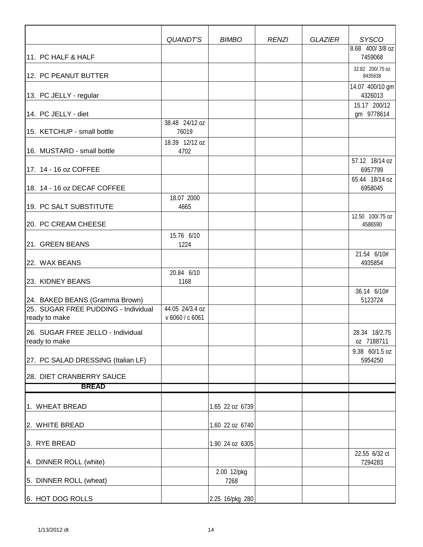|                                                                                        | QUANDT'S                           | <b>BIMBO</b>        | <b>RENZI</b> | <b>GLAZIER</b> | <b>SYSCO</b>                |
|----------------------------------------------------------------------------------------|------------------------------------|---------------------|--------------|----------------|-----------------------------|
| 11. PC HALF & HALF                                                                     |                                    |                     |              |                | 8.68 400/3/8 oz<br>7459068  |
| 12. PC PEANUT BUTTER                                                                   |                                    |                     |              |                | 32.82 200/.75 oz<br>8435638 |
| 13. PC JELLY - regular                                                                 |                                    |                     |              |                | 14.07 400/10 gm<br>4326013  |
| 14. PC JELLY - diet                                                                    |                                    |                     |              |                | 15.17 200/12<br>gm 9778614  |
| 15. KETCHUP - small bottle                                                             | 38.48 24/12 oz<br>76019            |                     |              |                |                             |
| 16. MUSTARD - small bottle                                                             | 18.39 12/12 oz<br>4702             |                     |              |                | 57.12 18/14 oz              |
| 17. 14 - 16 oz COFFEE                                                                  |                                    |                     |              |                | 6957799                     |
| 18. 14 - 16 oz DECAF COFFEE                                                            |                                    |                     |              |                | 65.44 18/14 oz<br>6958045   |
| 19. PC SALT SUBSTITUTE                                                                 | 18.07 2000<br>4665                 |                     |              |                |                             |
| 20. PC CREAM CHEESE                                                                    |                                    |                     |              |                | 12.50 100/.75 oz<br>4586590 |
| 21. GREEN BEANS                                                                        | 15.76 6/10<br>1224                 |                     |              |                |                             |
| 22. WAX BEANS                                                                          |                                    |                     |              |                | 21.54 6/10#<br>4935854      |
| 23. KIDNEY BEANS                                                                       | 20.84 6/10<br>1168                 |                     |              |                |                             |
| 24. BAKED BEANS (Gramma Brown)<br>25. SUGAR FREE PUDDING - Individual<br>ready to make | 44.05 24/3.4 oz<br>v 6060 / c 6061 |                     |              |                | 36.14 6/10#<br>5123724      |
| 26. SUGAR FREE JELLO - Individual<br>ready to make                                     |                                    |                     |              |                | 28.34 18/2.75<br>oz 7188711 |
| 27. PC SALAD DRESSING (Italian LF)                                                     |                                    |                     |              |                | 9.38 60/1.5 oz<br>5954250   |
| 28. DIET CRANBERRY SAUCE                                                               |                                    |                     |              |                |                             |
| <b>BREAD</b>                                                                           |                                    |                     |              |                |                             |
| 1. WHEAT BREAD                                                                         |                                    | 1.65 22 oz 6739     |              |                |                             |
| 2. WHITE BREAD                                                                         |                                    | 1.60 22 oz 6740     |              |                |                             |
| 3. RYE BREAD                                                                           |                                    | 1.90 24 oz 6305     |              |                |                             |
| 4. DINNER ROLL (white)                                                                 |                                    |                     |              |                | 22.55 6/32 ct<br>7294283    |
| 5. DINNER ROLL (wheat)                                                                 |                                    | 2.00 12/pkg<br>7268 |              |                |                             |
| 6. HOT DOG ROLLS                                                                       |                                    | 2.25 16/pkg 280     |              |                |                             |